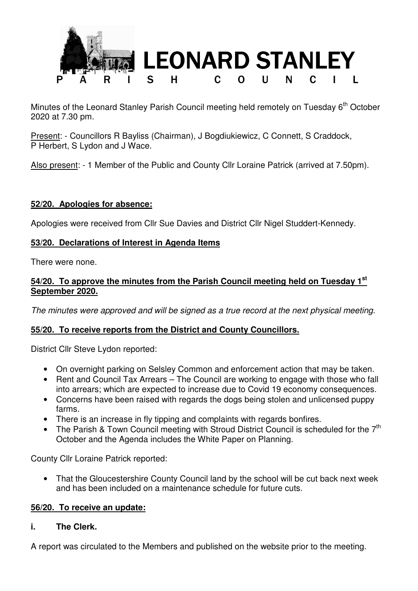

Minutes of the Leonard Stanley Parish Council meeting held remotely on Tuesday  $6<sup>th</sup>$  October 2020 at 7.30 pm.

Present: - Councillors R Bayliss (Chairman), J Bogdiukiewicz, C Connett, S Craddock, P Herbert, S Lydon and J Wace.

Also present: - 1 Member of the Public and County Cllr Loraine Patrick (arrived at 7.50pm).

#### **52/20. Apologies for absence:**

Apologies were received from Cllr Sue Davies and District Cllr Nigel Studdert-Kennedy.

#### **53/20. Declarations of Interest in Agenda Items**

There were none.

#### **54/20. To approve the minutes from the Parish Council meeting held on Tuesday 1st September 2020.**

*The minutes were approved and will be signed as a true record at the next physical meeting.* 

#### **55/20. To receive reports from the District and County Councillors.**

District Cllr Steve Lydon reported:

- On overnight parking on Selsley Common and enforcement action that may be taken.
- Rent and Council Tax Arrears The Council are working to engage with those who fall into arrears; which are expected to increase due to Covid 19 economy consequences.
- Concerns have been raised with regards the dogs being stolen and unlicensed puppy farms.
- There is an increase in fly tipping and complaints with regards bonfires.
- The Parish & Town Council meeting with Stroud District Council is scheduled for the 7<sup>th</sup> October and the Agenda includes the White Paper on Planning.

County Cllr Loraine Patrick reported:

• That the Gloucestershire County Council land by the school will be cut back next week and has been included on a maintenance schedule for future cuts.

#### **56/20. To receive an update:**

#### **i. The Clerk.**

A report was circulated to the Members and published on the website prior to the meeting.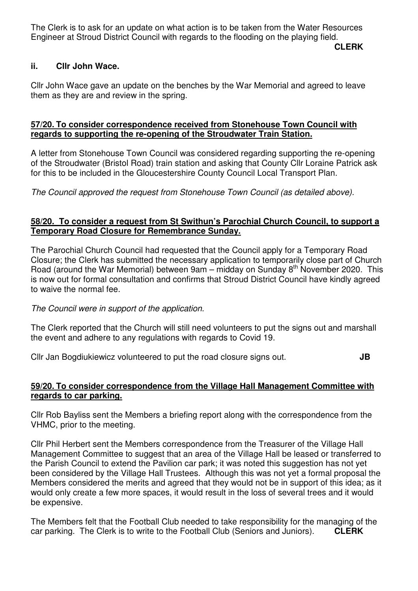The Clerk is to ask for an update on what action is to be taken from the Water Resources Engineer at Stroud District Council with regards to the flooding on the playing field.

**CLERK**

## **ii. Cllr John Wace.**

Cllr John Wace gave an update on the benches by the War Memorial and agreed to leave them as they are and review in the spring.

## **57/20. To consider correspondence received from Stonehouse Town Council with regards to supporting the re-opening of the Stroudwater Train Station.**

A letter from Stonehouse Town Council was considered regarding supporting the re-opening of the Stroudwater (Bristol Road) train station and asking that County Cllr Loraine Patrick ask for this to be included in the Gloucestershire County Council Local Transport Plan.

*The Council approved the request from Stonehouse Town Council (as detailed above).* 

## **58/20. To consider a request from St Swithun's Parochial Church Council, to support a Temporary Road Closure for Remembrance Sunday.**

The Parochial Church Council had requested that the Council apply for a Temporary Road Closure; the Clerk has submitted the necessary application to temporarily close part of Church Road (around the War Memorial) between  $9am - midday$  on Sunday  $8<sup>th</sup>$  November 2020. This is now out for formal consultation and confirms that Stroud District Council have kindly agreed to waive the normal fee.

*The Council were in support of the application.* 

The Clerk reported that the Church will still need volunteers to put the signs out and marshall the event and adhere to any regulations with regards to Covid 19.

Cllr Jan Bogdiukiewicz volunteered to put the road closure signs out. **JB**

#### **59/20. To consider correspondence from the Village Hall Management Committee with regards to car parking.**

Cllr Rob Bayliss sent the Members a briefing report along with the correspondence from the VHMC, prior to the meeting.

Cllr Phil Herbert sent the Members correspondence from the Treasurer of the Village Hall Management Committee to suggest that an area of the Village Hall be leased or transferred to the Parish Council to extend the Pavilion car park; it was noted this suggestion has not yet been considered by the Village Hall Trustees. Although this was not yet a formal proposal the Members considered the merits and agreed that they would not be in support of this idea; as it would only create a few more spaces, it would result in the loss of several trees and it would be expensive.

The Members felt that the Football Club needed to take responsibility for the managing of the car parking. The Clerk is to write to the Football Club (Seniors and Juniors). **CLERK**